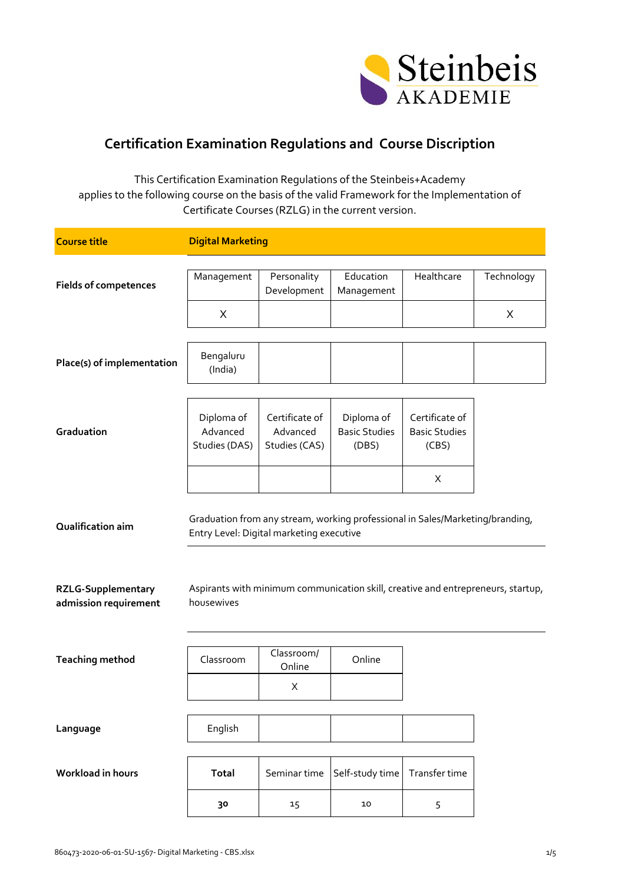

## **Certification Examination Regulations and Course Discription**

This Certification Examination Regulations of the Steinbeis+Academy applies to the following course on the basis of the valid Framework for the Implementation of Certificate Courses (RZLG) in the current version.

| <b>Course title</b>                            | <b>Digital Marketing</b>                                                                                                                                                                                      |                                             |                                             |                                                 |                        |
|------------------------------------------------|---------------------------------------------------------------------------------------------------------------------------------------------------------------------------------------------------------------|---------------------------------------------|---------------------------------------------|-------------------------------------------------|------------------------|
| <b>Fields of competences</b>                   | Management<br>X                                                                                                                                                                                               | Personality<br>Development                  | Education<br>Management                     | Healthcare                                      | Technology<br>$\times$ |
|                                                |                                                                                                                                                                                                               |                                             |                                             |                                                 |                        |
| Place(s) of implementation                     | Bengaluru<br>(India)                                                                                                                                                                                          |                                             |                                             |                                                 |                        |
| Graduation                                     | Diploma of<br>Advanced<br>Studies (DAS)                                                                                                                                                                       | Certificate of<br>Advanced<br>Studies (CAS) | Diploma of<br><b>Basic Studies</b><br>(DBS) | Certificate of<br><b>Basic Studies</b><br>(CBS) |                        |
|                                                |                                                                                                                                                                                                               |                                             |                                             | X                                               |                        |
| Qualification aim<br><b>RZLG-Supplementary</b> | Graduation from any stream, working professional in Sales/Marketing/branding,<br>Entry Level: Digital marketing executive<br>Aspirants with minimum communication skill, creative and entrepreneurs, startup, |                                             |                                             |                                                 |                        |
| admission requirement                          | housewives                                                                                                                                                                                                    |                                             |                                             |                                                 |                        |
| <b>Teaching method</b>                         | Classroom                                                                                                                                                                                                     | Classroom/<br>Online                        | Online                                      |                                                 |                        |
|                                                |                                                                                                                                                                                                               | X                                           |                                             |                                                 |                        |
| Language                                       | English                                                                                                                                                                                                       |                                             |                                             |                                                 |                        |
| Workload in hours                              | Total                                                                                                                                                                                                         | Seminar time                                | Self-study time                             | Transfer time                                   |                        |
|                                                | 30                                                                                                                                                                                                            | 15                                          | 10                                          | 5                                               |                        |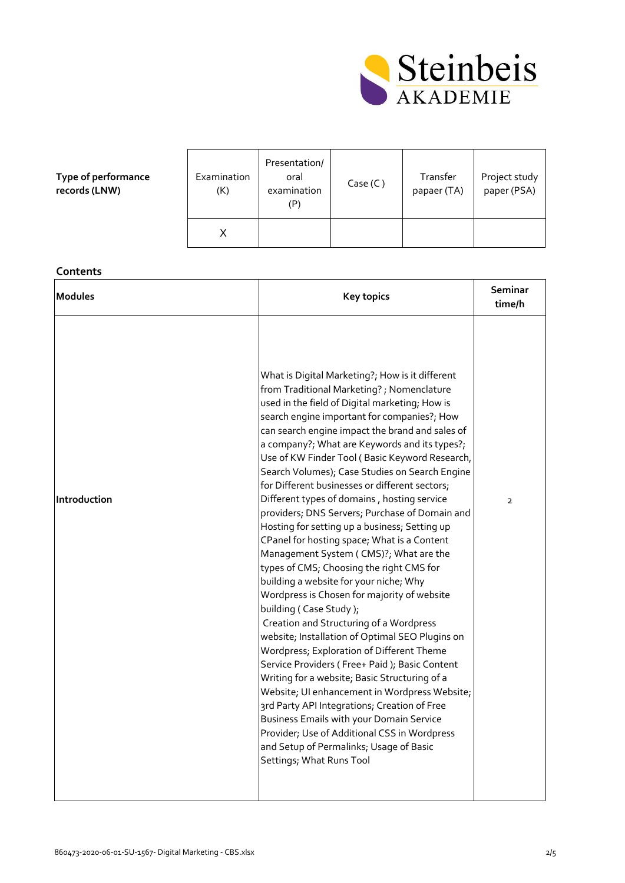

**Type of performance records (LNW)**

| Examination<br>(K) | Presentation/<br>oral<br>examination<br>(P | Case (C) | Transfer<br>papaer (TA) | Project study<br>paper (PSA) |
|--------------------|--------------------------------------------|----------|-------------------------|------------------------------|
| Χ                  |                                            |          |                         |                              |

## **Contents**

| <b>Modules</b> | <b>Key topics</b>                                                                                                                                                                                                                                                                                                                                                                                                                                                                                                                                                                                                                                                                                                                                                                                                                                                                                                                                                                                                                                                                                                                                                                                                                                                                                                                                                                         | Seminar<br>time/h |
|----------------|-------------------------------------------------------------------------------------------------------------------------------------------------------------------------------------------------------------------------------------------------------------------------------------------------------------------------------------------------------------------------------------------------------------------------------------------------------------------------------------------------------------------------------------------------------------------------------------------------------------------------------------------------------------------------------------------------------------------------------------------------------------------------------------------------------------------------------------------------------------------------------------------------------------------------------------------------------------------------------------------------------------------------------------------------------------------------------------------------------------------------------------------------------------------------------------------------------------------------------------------------------------------------------------------------------------------------------------------------------------------------------------------|-------------------|
| Introduction   | What is Digital Marketing?; How is it different<br>from Traditional Marketing?; Nomenclature<br>used in the field of Digital marketing; How is<br>search engine important for companies?; How<br>can search engine impact the brand and sales of<br>a company?; What are Keywords and its types?;<br>Use of KW Finder Tool (Basic Keyword Research,<br>Search Volumes); Case Studies on Search Engine<br>for Different businesses or different sectors;<br>Different types of domains, hosting service<br>providers; DNS Servers; Purchase of Domain and<br>Hosting for setting up a business; Setting up<br>CPanel for hosting space; What is a Content<br>Management System (CMS)?; What are the<br>types of CMS; Choosing the right CMS for<br>building a website for your niche; Why<br>Wordpress is Chosen for majority of website<br>building (Case Study);<br>Creation and Structuring of a Wordpress<br>website; Installation of Optimal SEO Plugins on<br>Wordpress; Exploration of Different Theme<br>Service Providers (Free+ Paid); Basic Content<br>Writing for a website; Basic Structuring of a<br>Website; UI enhancement in Wordpress Website;<br>3rd Party API Integrations; Creation of Free<br><b>Business Emails with your Domain Service</b><br>Provider; Use of Additional CSS in Wordpress<br>and Setup of Permalinks; Usage of Basic<br>Settings; What Runs Tool | $\overline{2}$    |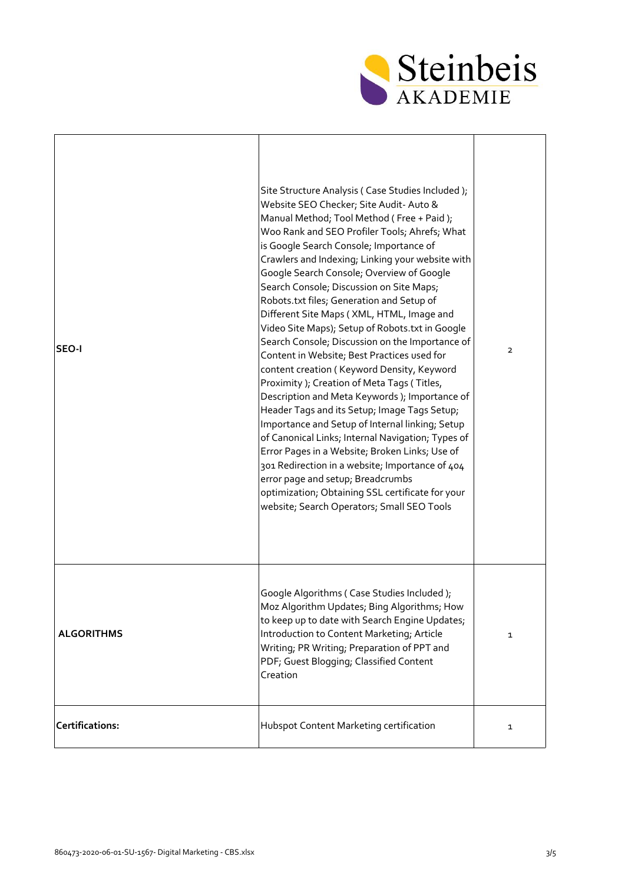

| SEO-I             | Site Structure Analysis (Case Studies Included);<br>Website SEO Checker; Site Audit- Auto &<br>Manual Method; Tool Method (Free + Paid);<br>Woo Rank and SEO Profiler Tools; Ahrefs; What<br>is Google Search Console; Importance of<br>Crawlers and Indexing; Linking your website with<br>Google Search Console; Overview of Google<br>Search Console; Discussion on Site Maps;<br>Robots.txt files; Generation and Setup of<br>Different Site Maps (XML, HTML, Image and<br>Video Site Maps); Setup of Robots.txt in Google<br>Search Console; Discussion on the Importance of<br>Content in Website; Best Practices used for<br>content creation (Keyword Density, Keyword<br>Proximity ); Creation of Meta Tags (Titles,<br>Description and Meta Keywords ); Importance of<br>Header Tags and its Setup; Image Tags Setup;<br>Importance and Setup of Internal linking; Setup<br>of Canonical Links; Internal Navigation; Types of<br>Error Pages in a Website; Broken Links; Use of<br>301 Redirection in a website; Importance of 404<br>error page and setup; Breadcrumbs<br>optimization; Obtaining SSL certificate for your<br>website; Search Operators; Small SEO Tools | $\mathbf{2}$ |
|-------------------|-------------------------------------------------------------------------------------------------------------------------------------------------------------------------------------------------------------------------------------------------------------------------------------------------------------------------------------------------------------------------------------------------------------------------------------------------------------------------------------------------------------------------------------------------------------------------------------------------------------------------------------------------------------------------------------------------------------------------------------------------------------------------------------------------------------------------------------------------------------------------------------------------------------------------------------------------------------------------------------------------------------------------------------------------------------------------------------------------------------------------------------------------------------------------------------|--------------|
| <b>ALGORITHMS</b> | Google Algorithms (Case Studies Included);<br>Moz Algorithm Updates; Bing Algorithms; How<br>to keep up to date with Search Engine Updates;<br>Introduction to Content Marketing; Article<br>Writing; PR Writing; Preparation of PPT and<br>PDF; Guest Blogging; Classified Content<br>Creation                                                                                                                                                                                                                                                                                                                                                                                                                                                                                                                                                                                                                                                                                                                                                                                                                                                                                     | $\mathbf{1}$ |
| Certifications:   | Hubspot Content Marketing certification                                                                                                                                                                                                                                                                                                                                                                                                                                                                                                                                                                                                                                                                                                                                                                                                                                                                                                                                                                                                                                                                                                                                             | $\mathbf{1}$ |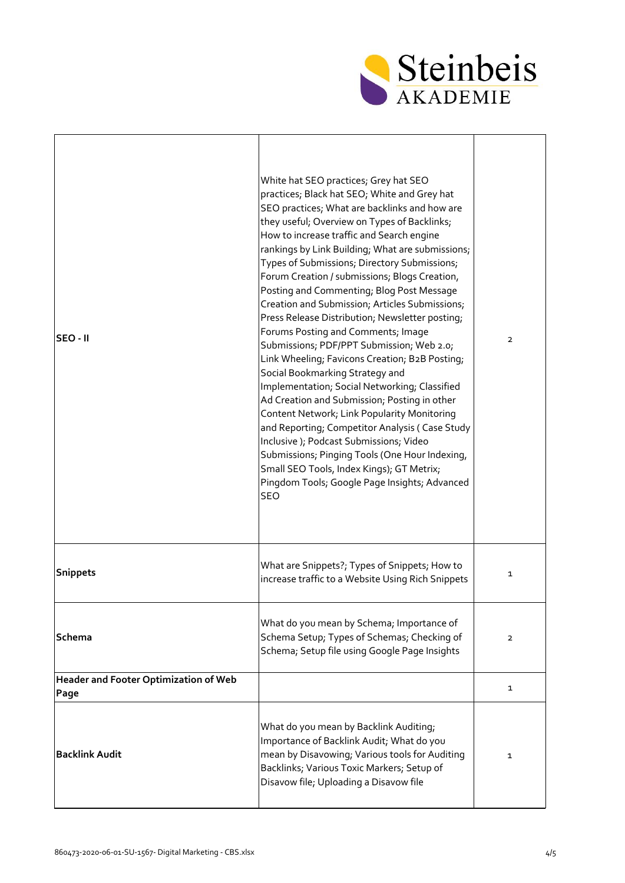

| SEO - II                                      | White hat SEO practices; Grey hat SEO<br>practices; Black hat SEO; White and Grey hat<br>SEO practices; What are backlinks and how are<br>they useful; Overview on Types of Backlinks;<br>How to increase traffic and Search engine<br>rankings by Link Building; What are submissions;<br>Types of Submissions; Directory Submissions;<br>Forum Creation / submissions; Blogs Creation,<br>Posting and Commenting; Blog Post Message<br>Creation and Submission; Articles Submissions;<br>Press Release Distribution; Newsletter posting;<br>Forums Posting and Comments; Image<br>Submissions; PDF/PPT Submission; Web 2.0;<br>Link Wheeling; Favicons Creation; B2B Posting;<br>Social Bookmarking Strategy and<br>Implementation; Social Networking; Classified<br>Ad Creation and Submission; Posting in other<br>Content Network; Link Popularity Monitoring<br>and Reporting; Competitor Analysis (Case Study<br>Inclusive ); Podcast Submissions; Video<br>Submissions; Pinging Tools (One Hour Indexing, | $\overline{2}$ |
|-----------------------------------------------|-------------------------------------------------------------------------------------------------------------------------------------------------------------------------------------------------------------------------------------------------------------------------------------------------------------------------------------------------------------------------------------------------------------------------------------------------------------------------------------------------------------------------------------------------------------------------------------------------------------------------------------------------------------------------------------------------------------------------------------------------------------------------------------------------------------------------------------------------------------------------------------------------------------------------------------------------------------------------------------------------------------------|----------------|
|                                               | Small SEO Tools, Index Kings); GT Metrix;<br>Pingdom Tools; Google Page Insights; Advanced<br><b>SEO</b>                                                                                                                                                                                                                                                                                                                                                                                                                                                                                                                                                                                                                                                                                                                                                                                                                                                                                                          |                |
| <b>Snippets</b>                               | What are Snippets?; Types of Snippets; How to<br>increase traffic to a Website Using Rich Snippets                                                                                                                                                                                                                                                                                                                                                                                                                                                                                                                                                                                                                                                                                                                                                                                                                                                                                                                | $\mathbf{1}$   |
| Schema                                        | What do you mean by Schema; Importance of<br>Schema Setup; Types of Schemas; Checking of<br>Schema; Setup file using Google Page Insights                                                                                                                                                                                                                                                                                                                                                                                                                                                                                                                                                                                                                                                                                                                                                                                                                                                                         | $\overline{2}$ |
| Header and Footer Optimization of Web<br>Page |                                                                                                                                                                                                                                                                                                                                                                                                                                                                                                                                                                                                                                                                                                                                                                                                                                                                                                                                                                                                                   | $\mathbf{1}$   |
| <b>Backlink Audit</b>                         | What do you mean by Backlink Auditing;<br>Importance of Backlink Audit; What do you<br>mean by Disavowing; Various tools for Auditing<br>Backlinks; Various Toxic Markers; Setup of<br>Disavow file; Uploading a Disavow file                                                                                                                                                                                                                                                                                                                                                                                                                                                                                                                                                                                                                                                                                                                                                                                     | $\mathbf{1}$   |